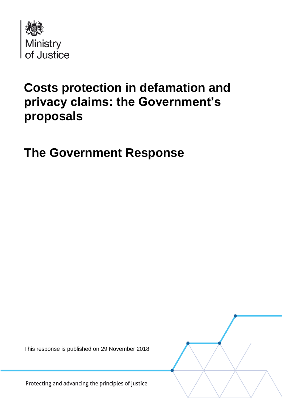

# **Costs protection in defamation and privacy claims: the Government's proposals**

**The Government Response**

This response is published on 29 November 2018

Protecting and advancing the principles of justice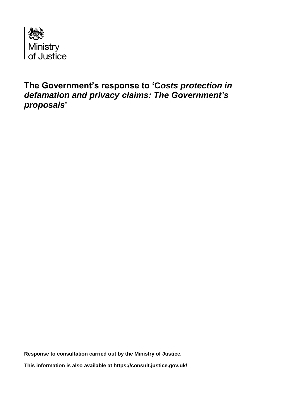

**The Government's response to 'C***osts protection in defamation and privacy claims: The Government's proposals***'**

**Response to consultation carried out by the Ministry of Justice.**

**This information is also available at<https://consult.justice.gov.uk/>**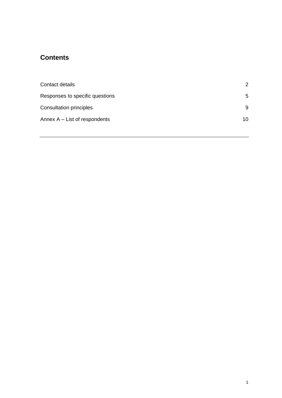## **Contents**

| Contact details                 | $\mathcal{P}$ |
|---------------------------------|---------------|
| Responses to specific questions | 5             |
| <b>Consultation principles</b>  | 9             |
| Annex $A - List$ of respondents | 10            |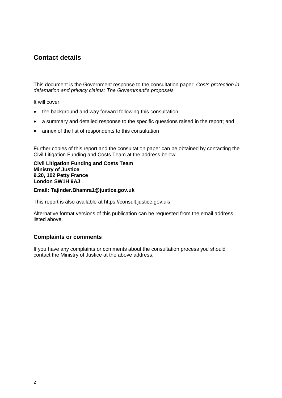## **Contact details**

This document is the Government response to the consultation paper: *Costs protection in defamation and privacy claims: The Government's proposals.*

It will cover:

- the background and way forward following this consultation:
- a summary and detailed response to the specific questions raised in the report; and
- annex of the list of respondents to this consultation

Further copies of this report and the consultation paper can be obtained by contacting the Civil Litigation Funding and Costs Team at the address below:

#### **Civil Litigation Funding and Costs Team Ministry of Justice 9.20, 102 Petty France London SW1H 9AJ**

#### **Email: Tajinder.Bhamra1@justice.gov.uk**

This report is also available at<https://consult.justice.gov.uk/>

Alternative format versions of this publication can be requested from the email address listed above.

#### **Complaints or comments**

If you have any complaints or comments about the consultation process you should contact the Ministry of Justice at the above address.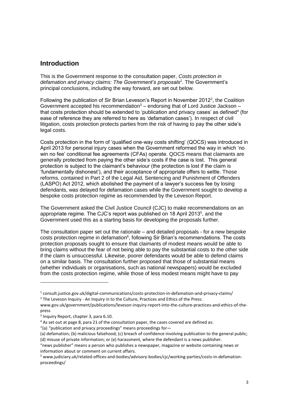## **Introduction**

This is the Government response to the consultation paper, *Costs protection in defamation and privacy claims: The Government's proposals<sup>1</sup>* . The Government's principal conclusions, including the way forward, are set out below.

Following the publication of Sir Brian Leveson's Report in November 2012<sup>2</sup>, the Coalition Government accepted his recommendation<sup>3</sup> – endorsing that of Lord Justice Jackson – that costs protection should be extended to 'publication and privacy cases' as defined<sup>4</sup> (for ease of reference they are referred to here as 'defamation cases'). In respect of civil litigation, costs protection protects parties from the risk of having to pay the other side's legal costs.

Costs protection in the form of 'qualified one-way costs shifting' (QOCS) was introduced in April 2013 for personal injury cases when the Government reformed the way in which 'no win no fee' conditional fee agreements (CFAs) operate. QOCS means that claimants are generally protected from paying the other side's costs if the case is lost. This general protection is subject to the claimant's behaviour (the protection is lost if the claim is 'fundamentally dishonest'), and their acceptance of appropriate offers to settle. Those reforms, contained in Part 2 of the Legal Aid, Sentencing and Punishment of Offenders (LASPO) Act 2012, which abolished the payment of a lawyer's success fee by losing defendants, was delayed for defamation cases while the Government sought to develop a bespoke costs protection regime as recommended by the Leveson Report.

The Government asked the Civil Justice Council (CJC) to make recommendations on an appropriate regime. The CJC's report was published on 18 April 2013<sup>5</sup>, and the Government used this as a starting basis for developing the proposals further.

The consultation paper set out the rationale – and detailed proposals - for a new bespoke  $costs$  protection regime in defamation $6$ , following Sir Brian's recommendations. The costs protection proposals sought to ensure that claimants of modest means would be able to bring claims without the fear of not being able to pay the substantial costs to the other side if the claim is unsuccessful. Likewise, poorer defendants would be able to defend claims on a similar basis. The consultation further proposed that those of substantial means (whether individuals or organisations, such as national newspapers) would be excluded from the costs protection regime, while those of less modest means might have to pay

-

<sup>&</sup>lt;sup>1</sup> [consult.justice.gov.uk/digital-communications/costs-protection-in-defamation-and-privacy-claims/](https://consult.justice.gov.uk/digital-communications/costs-protection-in-defamation-and-privacy-claims/)  $2$  The Leveson Inquiry - An Inquiry in to the Culture, Practices and Ethics of the Press:

[www.gov.uk/government/publications/leveson-inquiry-report-into-the-culture-practices-and-ethics-of-the](https://www.gov.uk/government/publications/leveson-inquiry-report-into-the-culture-practices-and-ethics-of-the-press)[press](https://www.gov.uk/government/publications/leveson-inquiry-report-into-the-culture-practices-and-ethics-of-the-press)

<sup>&</sup>lt;sup>3</sup> Inquiry Report, chapter 3, para 6.10.

 $4$  As set out at page 8, para 21 of the consultation paper, the cases covered are defined as:

<sup>&</sup>quot;(a) "publication and privacy proceedings" means proceedings for—

<sup>(</sup>a) defamation; (b) malicious falsehood; (c) breach of confidence involving publication to the general public; (d) misuse of private information; or (e) harassment, where the defendant is a news publisher.

<sup>&</sup>quot;news publisher" means a person who publishes a newspaper, magazine or website containing news or information about or comment on current affairs.

<sup>5</sup> [www.judiciary.uk/related-offices-and-bodies/advisory-bodies/cjc/working-parties/costs-in-defamation](https://www.judiciary.uk/related-offices-and-bodies/advisory-bodies/cjc/working-parties/costs-in-defamation-proceedings/)[proceedings/](https://www.judiciary.uk/related-offices-and-bodies/advisory-bodies/cjc/working-parties/costs-in-defamation-proceedings/)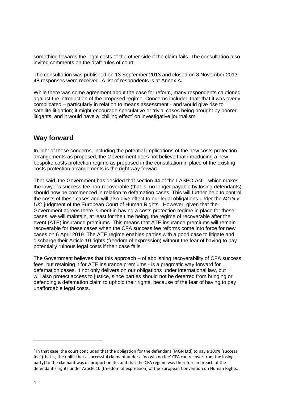something towards the legal costs of the other side if the claim fails. The consultation also invited comments on the draft rules of court.

The consultation was published on 13 September 2013 and closed on 8 November 2013. 48 responses were received. A list of respondents is at Annex A**.**

While there was some agreement about the case for reform, many respondents cautioned against the introduction of the proposed regime. Concerns included that: that it was overly complicated – particularly in relation to means assessment - and would give rise to satellite litigation; it might encourage speculative or trivial cases being brought by poorer litigants; and it would have a 'chilling effect' on investigative journalism.

## **Way forward**

In light of those concerns, including the potential implications of the new costs protection arrangements as proposed, the Government does not believe that introducing a new bespoke costs protection regime as proposed in the consultation in place of the existing costs protection arrangements is the right way forward.

That said, the Government has decided that section 44 of the LASPO Act – which makes the lawyer's success fee non-recoverable (that is, no longer payable by losing defendants) should now be commenced in relation to defamation cases. This will further help to control the costs of these cases and will also give effect to our legal obligations under the *MGN v UK<sup>7</sup>* judgment of the European Court of Human Rights. However, given that the Government agrees there is merit in having a costs protection regime in place for these cases, we will maintain, at least for the time being, the regime of recoverable after the event (ATE) insurance premiums. This means that ATE insurance premiums will remain recoverable for these cases when the CFA success fee reforms come into force for new cases on 6 April 2019. The ATE regime enables parties with a good case to litigate and discharge their Article 10 rights (freedom of expression) without the fear of having to pay potentially ruinous legal costs if their case fails.

The Government believes that this approach – of abolishing recoverability of CFA success fees, but retaining it for ATE insurance premiums - is a pragmatic way forward for defamation cases. It not only delivers on our obligations under international law, but will also protect access to justice, since parties should not be deterred from bringing or defending a defamation claim to uphold their rights, because of the fear of having to pay unaffordable legal costs.

 $\overline{a}$ 

 $<sup>7</sup>$  In that case, the court concluded that the obligation for the defendant (MGN Ltd) to pay a 100% 'success</sup> fee' (that is, the uplift that a successful claimant under a 'no win no fee' CFA can recover from the losing party) to the claimant was disproportionate, and that the CFA regime was therefore in breach of the defendant's rights under Article 10 (freedom of expression) of the European Convention on Human Rights.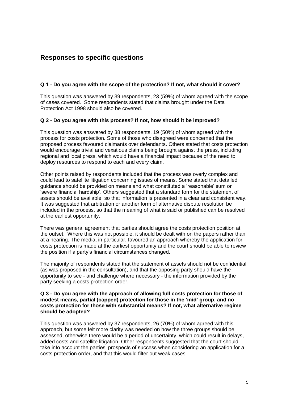## **Responses to specific questions**

#### **Q 1 - Do you agree with the scope of the protection? If not, what should it cover?**

This question was answered by 39 respondents, 23 (59%) of whom agreed with the scope of cases covered. Some respondents stated that claims brought under the Data Protection Act 1998 should also be covered.

#### **Q 2 - Do you agree with this process? If not, how should it be improved?**

This question was answered by 38 respondents, 19 (50%) of whom agreed with the process for costs protection. Some of those who disagreed were concerned that the proposed process favoured claimants over defendants. Others stated that costs protection would encourage trivial and vexatious claims being brought against the press, including regional and local press, which would have a financial impact because of the need to deploy resources to respond to each and every claim.

Other points raised by respondents included that the process was overly complex and could lead to satellite litigation concerning issues of means. Some stated that detailed guidance should be provided on means and what constituted a 'reasonable' sum or 'severe financial hardship'. Others suggested that a standard form for the statement of assets should be available, so that information is presented in a clear and consistent way. It was suggested that arbitration or another form of alternative dispute resolution be included in the process, so that the meaning of what is said or published can be resolved at the earliest opportunity.

There was general agreement that parties should agree the costs protection position at the outset. Where this was not possible, it should be dealt with on the papers rather than at a hearing. The media, in particular, favoured an approach whereby the application for costs protection is made at the earliest opportunity and the court should be able to review the position if a party's financial circumstances changed.

The majority of respondents stated that the statement of assets should not be confidential (as was proposed in the consultation), and that the opposing party should have the opportunity to see - and challenge where necessary - the information provided by the party seeking a costs protection order.

#### **Q 3 - Do you agree with the approach of allowing full costs protection for those of modest means, partial (capped) protection for those in the 'mid' group, and no costs protection for those with substantial means? If not, what alternative regime should be adopted?**

This question was answered by 37 respondents, 26 (70%) of whom agreed with this approach, but some felt more clarity was needed on how the three groups should be assessed, otherwise there would be a period of uncertainty, which could result in delays, added costs and satellite litigation. Other respondents suggested that the court should take into account the parties' prospects of success when considering an application for a costs protection order, and that this would filter out weak cases.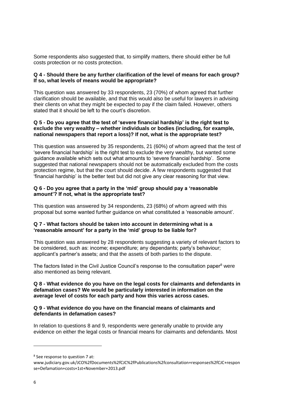Some respondents also suggested that, to simplify matters, there should either be full costs protection or no costs protection.

#### **Q 4 - Should there be any further clarification of the level of means for each group? If so, what levels of means would be appropriate?**

This question was answered by 33 respondents, 23 (70%) of whom agreed that further clarification should be available, and that this would also be useful for lawyers in advising their clients on what they might be expected to pay if the claim failed. However, others stated that it should be left to the court's discretion.

#### **Q 5 - Do you agree that the test of 'severe financial hardship' is the right test to exclude the very wealthy – whether individuals or bodies (including, for example, national newspapers that report a loss)? If not, what is the appropriate test?**

This question was answered by 35 respondents, 21 (60%) of whom agreed that the test of 'severe financial hardship' is the right test to exclude the very wealthy, but wanted some guidance available which sets out what amounts to 'severe financial hardship'. Some suggested that national newspapers should not be automatically excluded from the costs protection regime, but that the court should decide. A few respondents suggested that 'financial hardship' is the better test but did not give any clear reasoning for that view.

#### **Q 6 - Do you agree that a party in the 'mid' group should pay a 'reasonable amount'? If not, what is the appropriate test?**

This question was answered by 34 respondents, 23 (68%) of whom agreed with this proposal but some wanted further guidance on what constituted a 'reasonable amount'.

#### **Q 7 - What factors should be taken into account in determining what is a 'reasonable amount' for a party in the 'mid' group to be liable for?**

This question was answered by 28 respondents suggesting a variety of relevant factors to be considered, such as: income; expenditure; any dependants; party's behaviour; applicant's partner's assets; and that the assets of both parties to the dispute.

The factors listed in the Civil Justice Council's response to the consultation paper<sup>8</sup> were also mentioned as being relevant.

#### **Q 8 - What evidence do you have on the legal costs for claimants and defendants in defamation cases? We would be particularly interested in information on the average level of costs for each party and how this varies across cases.**

#### **Q 9 - What evidence do you have on the financial means of claimants and defendants in defamation cases?**

In relation to questions 8 and 9, respondents were generally unable to provide any evidence on either the legal costs or financial means for claimants and defendants. Most

<sup>8</sup> See response to question 7 at:

[www.judiciary.gov.uk/JCO%2fDocuments%2fCJC%2fPublications%2fconsultation+responses%2fCJC+respon](http://www.judiciary.gov.uk/JCO%2fDocuments%2fCJC%2fPublications%2fconsultation+responses%2fCJC+response+Defamation+costs+1st+November+2013.pdf) [se+Defamation+costs+1st+November+2013.pdf](http://www.judiciary.gov.uk/JCO%2fDocuments%2fCJC%2fPublications%2fconsultation+responses%2fCJC+response+Defamation+costs+1st+November+2013.pdf)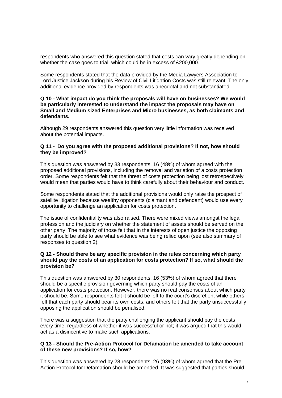respondents who answered this question stated that costs can vary greatly depending on whether the case goes to trial, which could be in excess of £200,000.

Some respondents stated that the data provided by the Media Lawyers Association to Lord Justice Jackson during his Review of Civil Litigation Costs was still relevant. The only additional evidence provided by respondents was anecdotal and not substantiated.

#### **Q 10 - What impact do you think the proposals will have on businesses? We would be particularly interested to understand the impact the proposals may have on Small and Medium sized Enterprises and Micro businesses, as both claimants and defendants.**

Although 29 respondents answered this question very little information was received about the potential impacts.

#### **Q 11 - Do you agree with the proposed additional provisions? If not, how should they be improved?**

This question was answered by 33 respondents, 16 (48%) of whom agreed with the proposed additional provisions, including the removal and variation of a costs protection order. Some respondents felt that the threat of costs protection being lost retrospectively would mean that parties would have to think carefully about their behaviour and conduct.

Some respondents stated that the additional provisions would only raise the prospect of satellite litigation because wealthy opponents (claimant and defendant) would use every opportunity to challenge an application for costs protection.

The issue of confidentiality was also raised. There were mixed views amongst the legal profession and the judiciary on whether the statement of assets should be served on the other party. The majority of those felt that in the interests of open justice the opposing party should be able to see what evidence was being relied upon (see also summary of responses to question 2).

#### **Q 12 - Should there be any specific provision in the rules concerning which party should pay the costs of an application for costs protection? If so, what should the provision be?**

This question was answered by 30 respondents, 16 (53%) of whom agreed that there should be a specific provision governing which party should pay the costs of an application for costs protection. However, there was no real consensus about which party it should be. Some respondents felt it should be left to the court's discretion, while others felt that each party should bear its own costs, and others felt that the party unsuccessfully opposing the application should be penalised.

There was a suggestion that the party challenging the applicant should pay the costs every time, regardless of whether it was successful or not; it was argued that this would act as a disincentive to make such applications.

#### **Q 13 - Should the Pre-Action Protocol for Defamation be amended to take account of these new provisions? If so, how?**

This question was answered by 28 respondents, 26 (93%) of whom agreed that the Pre-Action Protocol for Defamation should be amended. It was suggested that parties should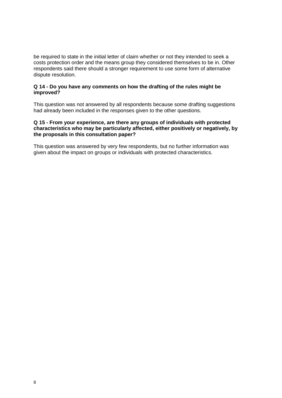be required to state in the initial letter of claim whether or not they intended to seek a costs protection order and the means group they considered themselves to be in. Other respondents said there should a stronger requirement to use some form of alternative dispute resolution.

#### **Q 14 - Do you have any comments on how the drafting of the rules might be improved?**

This question was not answered by all respondents because some drafting suggestions had already been included in the responses given to the other questions.

#### **Q 15 - From your experience, are there any groups of individuals with protected characteristics who may be particularly affected, either positively or negatively, by the proposals in this consultation paper?**

This question was answered by very few respondents, but no further information was given about the impact on groups or individuals with protected characteristics.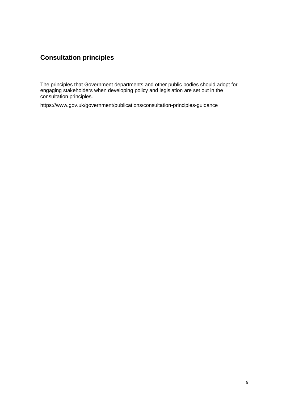# **Consultation principles**

The principles that Government departments and other public bodies should adopt for engaging stakeholders when developing policy and legislation are set out in the consultation principles.

<https://www.gov.uk/government/publications/consultation-principles-guidance>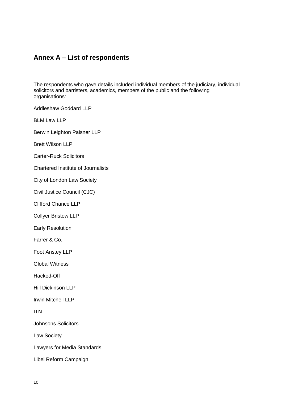## **Annex A – List of respondents**

The respondents who gave details included individual members of the judiciary, individual solicitors and barristers, academics, members of the public and the following organisations:

Addleshaw Goddard LLP

BLM Law LLP

Berwin Leighton Paisner LLP

Brett Wilson LLP

Carter-Ruck Solicitors

Chartered Institute of Journalists

City of London Law Society

Civil Justice Council (CJC)

Clifford Chance LLP

Collyer Bristow LLP

Early Resolution

Farrer & Co.

Foot Anstey LLP

Global Witness

Hacked-Off

Hill Dickinson LLP

Irwin Mitchell LLP

ITN

Johnsons Solicitors

Law Society

Lawyers for Media Standards

Libel Reform Campaign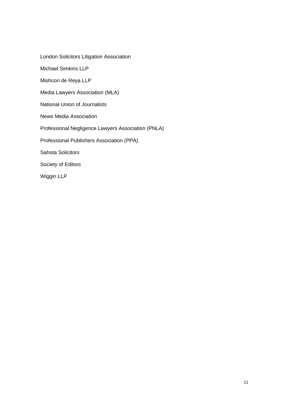London Solicitors Litigation Association

Michael Simkins LLP

Mishcon de Reya LLP

Media Lawyers Association (MLA)

National Union of Journalists

News Media Association

Professional Negligence Lawyers Association (PNLA)

Professional Publishers Association (PPA)

Sahota Solicitors

Society of Editors

Wiggin LLP